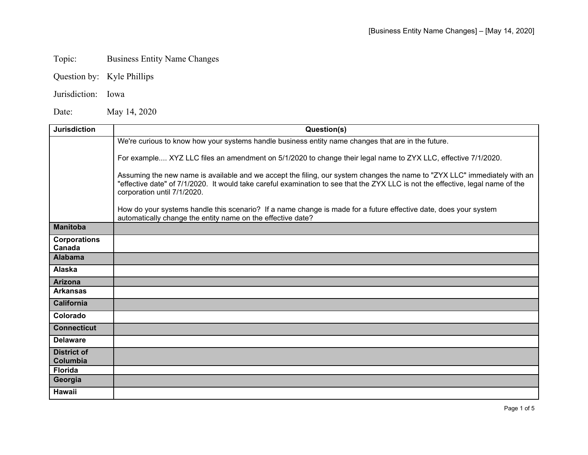## Topic: Business Entity Name Changes

Question by: Kyle Phillips

## Jurisdiction: Iowa

Date: May 14, 2020

| <b>Jurisdiction</b>            | Question(s)                                                                                                                                                                                                                                                                                 |
|--------------------------------|---------------------------------------------------------------------------------------------------------------------------------------------------------------------------------------------------------------------------------------------------------------------------------------------|
|                                | We're curious to know how your systems handle business entity name changes that are in the future.                                                                                                                                                                                          |
|                                | For example XYZ LLC files an amendment on 5/1/2020 to change their legal name to ZYX LLC, effective 7/1/2020.                                                                                                                                                                               |
|                                | Assuming the new name is available and we accept the filing, our system changes the name to "ZYX LLC" immediately with an<br>"effective date" of 7/1/2020. It would take careful examination to see that the ZYX LLC is not the effective, legal name of the<br>corporation until 7/1/2020. |
|                                | How do your systems handle this scenario? If a name change is made for a future effective date, does your system<br>automatically change the entity name on the effective date?                                                                                                             |
| <b>Manitoba</b>                |                                                                                                                                                                                                                                                                                             |
| <b>Corporations</b><br>Canada  |                                                                                                                                                                                                                                                                                             |
| <b>Alabama</b>                 |                                                                                                                                                                                                                                                                                             |
| Alaska                         |                                                                                                                                                                                                                                                                                             |
| <b>Arizona</b>                 |                                                                                                                                                                                                                                                                                             |
| <b>Arkansas</b>                |                                                                                                                                                                                                                                                                                             |
| California                     |                                                                                                                                                                                                                                                                                             |
| Colorado                       |                                                                                                                                                                                                                                                                                             |
| <b>Connecticut</b>             |                                                                                                                                                                                                                                                                                             |
| <b>Delaware</b>                |                                                                                                                                                                                                                                                                                             |
| <b>District of</b><br>Columbia |                                                                                                                                                                                                                                                                                             |
| <b>Florida</b>                 |                                                                                                                                                                                                                                                                                             |
| Georgia                        |                                                                                                                                                                                                                                                                                             |
| <b>Hawaii</b>                  |                                                                                                                                                                                                                                                                                             |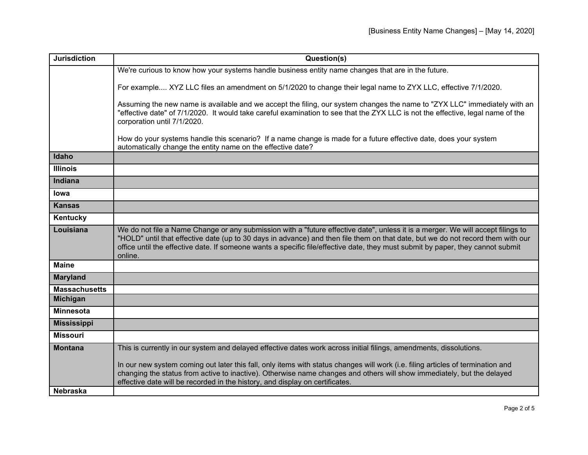| <b>Jurisdiction</b>  | Question(s)                                                                                                                                                                                                                                                                                                                                                                                                      |
|----------------------|------------------------------------------------------------------------------------------------------------------------------------------------------------------------------------------------------------------------------------------------------------------------------------------------------------------------------------------------------------------------------------------------------------------|
|                      | We're curious to know how your systems handle business entity name changes that are in the future.                                                                                                                                                                                                                                                                                                               |
|                      | For example XYZ LLC files an amendment on 5/1/2020 to change their legal name to ZYX LLC, effective 7/1/2020.                                                                                                                                                                                                                                                                                                    |
|                      | Assuming the new name is available and we accept the filing, our system changes the name to "ZYX LLC" immediately with an<br>"effective date" of 7/1/2020. It would take careful examination to see that the ZYX LLC is not the effective, legal name of the<br>corporation until 7/1/2020.                                                                                                                      |
|                      | How do your systems handle this scenario? If a name change is made for a future effective date, does your system<br>automatically change the entity name on the effective date?                                                                                                                                                                                                                                  |
| Idaho                |                                                                                                                                                                                                                                                                                                                                                                                                                  |
| <b>Illinois</b>      |                                                                                                                                                                                                                                                                                                                                                                                                                  |
| Indiana              |                                                                                                                                                                                                                                                                                                                                                                                                                  |
| lowa                 |                                                                                                                                                                                                                                                                                                                                                                                                                  |
| <b>Kansas</b>        |                                                                                                                                                                                                                                                                                                                                                                                                                  |
| Kentucky             |                                                                                                                                                                                                                                                                                                                                                                                                                  |
| Louisiana            | We do not file a Name Change or any submission with a "future effective date", unless it is a merger. We will accept filings to<br>"HOLD" until that effective date (up to 30 days in advance) and then file them on that date, but we do not record them with our<br>office until the effective date. If someone wants a specific file/effective date, they must submit by paper, they cannot submit<br>online. |
| <b>Maine</b>         |                                                                                                                                                                                                                                                                                                                                                                                                                  |
| <b>Maryland</b>      |                                                                                                                                                                                                                                                                                                                                                                                                                  |
| <b>Massachusetts</b> |                                                                                                                                                                                                                                                                                                                                                                                                                  |
| <b>Michigan</b>      |                                                                                                                                                                                                                                                                                                                                                                                                                  |
| <b>Minnesota</b>     |                                                                                                                                                                                                                                                                                                                                                                                                                  |
| <b>Mississippi</b>   |                                                                                                                                                                                                                                                                                                                                                                                                                  |
| <b>Missouri</b>      |                                                                                                                                                                                                                                                                                                                                                                                                                  |
| <b>Montana</b>       | This is currently in our system and delayed effective dates work across initial filings, amendments, dissolutions.                                                                                                                                                                                                                                                                                               |
|                      | In our new system coming out later this fall, only items with status changes will work (i.e. filing articles of termination and<br>changing the status from active to inactive). Otherwise name changes and others will show immediately, but the delayed<br>effective date will be recorded in the history, and display on certificates.                                                                        |
| <b>Nebraska</b>      |                                                                                                                                                                                                                                                                                                                                                                                                                  |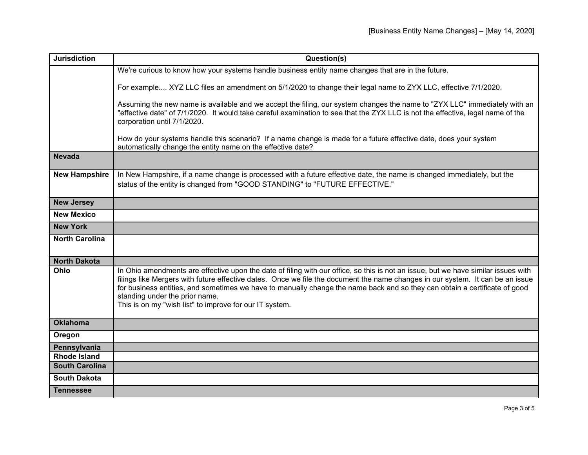| <b>Jurisdiction</b>   | Question(s)                                                                                                                                                                                                                                                                                                                                                                                                                                                                                     |
|-----------------------|-------------------------------------------------------------------------------------------------------------------------------------------------------------------------------------------------------------------------------------------------------------------------------------------------------------------------------------------------------------------------------------------------------------------------------------------------------------------------------------------------|
|                       | We're curious to know how your systems handle business entity name changes that are in the future.                                                                                                                                                                                                                                                                                                                                                                                              |
|                       | For example XYZ LLC files an amendment on 5/1/2020 to change their legal name to ZYX LLC, effective 7/1/2020.                                                                                                                                                                                                                                                                                                                                                                                   |
|                       | Assuming the new name is available and we accept the filing, our system changes the name to "ZYX LLC" immediately with an<br>"effective date" of 7/1/2020. It would take careful examination to see that the ZYX LLC is not the effective, legal name of the<br>corporation until 7/1/2020.                                                                                                                                                                                                     |
|                       | How do your systems handle this scenario? If a name change is made for a future effective date, does your system<br>automatically change the entity name on the effective date?                                                                                                                                                                                                                                                                                                                 |
| <b>Nevada</b>         |                                                                                                                                                                                                                                                                                                                                                                                                                                                                                                 |
| <b>New Hampshire</b>  | In New Hampshire, if a name change is processed with a future effective date, the name is changed immediately, but the<br>status of the entity is changed from "GOOD STANDING" to "FUTURE EFFECTIVE."                                                                                                                                                                                                                                                                                           |
| <b>New Jersey</b>     |                                                                                                                                                                                                                                                                                                                                                                                                                                                                                                 |
| <b>New Mexico</b>     |                                                                                                                                                                                                                                                                                                                                                                                                                                                                                                 |
| <b>New York</b>       |                                                                                                                                                                                                                                                                                                                                                                                                                                                                                                 |
| <b>North Carolina</b> |                                                                                                                                                                                                                                                                                                                                                                                                                                                                                                 |
| <b>North Dakota</b>   |                                                                                                                                                                                                                                                                                                                                                                                                                                                                                                 |
| Ohio                  | In Ohio amendments are effective upon the date of filing with our office, so this is not an issue, but we have similar issues with<br>filings like Mergers with future effective dates. Once we file the document the name changes in our system. It can be an issue<br>for business entities, and sometimes we have to manually change the name back and so they can obtain a certificate of good<br>standing under the prior name.<br>This is on my "wish list" to improve for our IT system. |
| <b>Oklahoma</b>       |                                                                                                                                                                                                                                                                                                                                                                                                                                                                                                 |
| Oregon                |                                                                                                                                                                                                                                                                                                                                                                                                                                                                                                 |
| Pennsylvania          |                                                                                                                                                                                                                                                                                                                                                                                                                                                                                                 |
| <b>Rhode Island</b>   |                                                                                                                                                                                                                                                                                                                                                                                                                                                                                                 |
| <b>South Carolina</b> |                                                                                                                                                                                                                                                                                                                                                                                                                                                                                                 |
| <b>South Dakota</b>   |                                                                                                                                                                                                                                                                                                                                                                                                                                                                                                 |
| <b>Tennessee</b>      |                                                                                                                                                                                                                                                                                                                                                                                                                                                                                                 |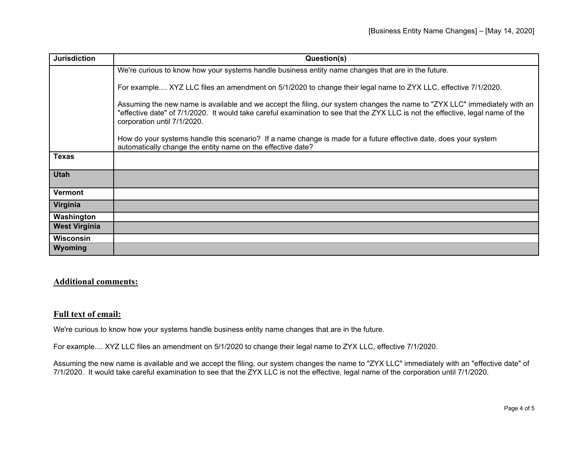| <b>Jurisdiction</b>  | Question(s)                                                                                                                                                                                                                                                                                 |
|----------------------|---------------------------------------------------------------------------------------------------------------------------------------------------------------------------------------------------------------------------------------------------------------------------------------------|
|                      | We're curious to know how your systems handle business entity name changes that are in the future.                                                                                                                                                                                          |
|                      | For example XYZ LLC files an amendment on 5/1/2020 to change their legal name to ZYX LLC, effective 7/1/2020.                                                                                                                                                                               |
|                      | Assuming the new name is available and we accept the filing, our system changes the name to "ZYX LLC" immediately with an<br>"effective date" of 7/1/2020. It would take careful examination to see that the ZYX LLC is not the effective, legal name of the<br>corporation until 7/1/2020. |
|                      | How do your systems handle this scenario? If a name change is made for a future effective date, does your system<br>automatically change the entity name on the effective date?                                                                                                             |
| <b>Texas</b>         |                                                                                                                                                                                                                                                                                             |
| <b>Utah</b>          |                                                                                                                                                                                                                                                                                             |
| <b>Vermont</b>       |                                                                                                                                                                                                                                                                                             |
| Virginia             |                                                                                                                                                                                                                                                                                             |
| Washington           |                                                                                                                                                                                                                                                                                             |
| <b>West Virginia</b> |                                                                                                                                                                                                                                                                                             |
| <b>Wisconsin</b>     |                                                                                                                                                                                                                                                                                             |
| Wyoming              |                                                                                                                                                                                                                                                                                             |

## **Additional comments:**

## **Full text of email:**

We're curious to know how your systems handle business entity name changes that are in the future.

For example.... XYZ LLC files an amendment on 5/1/2020 to change their legal name to ZYX LLC, effective 7/1/2020.

Assuming the new name is available and we accept the filing, our system changes the name to "ZYX LLC" immediately with an "effective date" of 7/1/2020. It would take careful examination to see that the ZYX LLC is not the effective, legal name of the corporation until 7/1/2020.